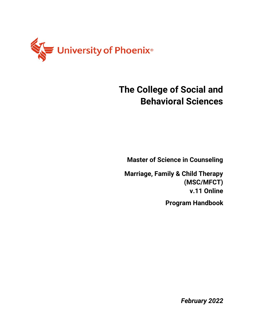

# **The College of Social and Behavioral Sciences**

**Master of Science in Counseling**

**Marriage, Family & Child Therapy (MSC/MFCT) v.11 Online Program Handbook**

*February 2022*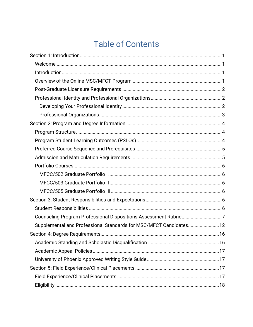# **Table of Contents**

| Counseling Program Professional Dispositions Assessment Rubric7   |  |
|-------------------------------------------------------------------|--|
| Supplemental and Professional Standards for MSC/MFCT Candidates12 |  |
|                                                                   |  |
|                                                                   |  |
|                                                                   |  |
|                                                                   |  |
|                                                                   |  |
|                                                                   |  |
|                                                                   |  |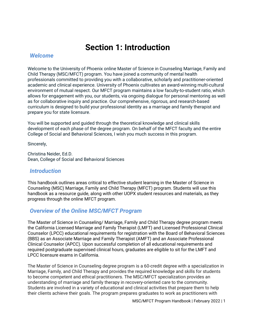## **Section 1: Introduction**

#### <span id="page-3-1"></span><span id="page-3-0"></span>*Welcome*

Welcome to the University of Phoenix online Master of Science in Counseling Marriage, Family and Child Therapy (MSC/MFCT) program. You have joined a community of mental health professionals committed to providing you with a collaborative, scholarly and practitioner-oriented academic and clinical experience. University of Phoenix cultivates an award-winning multi-cultural environment of mutual respect. Our MFCT program maintains a low faculty-to-student ratio, which allows for engagement with you, our students, via ongoing dialogue for personal mentoring as well as for collaborative inquiry and practice. Our comprehensive, rigorous, and research-based curriculum is designed to build your professional identity as a marriage and family therapist and prepare you for state licensure.

You will be supported and guided through the theoretical knowledge and clinical skills development of each phase of the degree program. On behalf of the MFCT faculty and the entire College of Social and Behavioral Sciences, I wish you much success in this program.

Sincerely,

Christina Neider, Ed.D. Dean, College of Social and Behavioral Sciences

#### <span id="page-3-2"></span>*Introduction*

This handbook outlines areas critical to effective student learning in the Master of Science in Counseling (MSC) Marriage, Family and Child Therapy (MFCT) program. Students will use this handbook as a resource guide, along with other UOPX student resources and materials, as they progress through the online MFCT program.

## <span id="page-3-3"></span>*Overview of the Online MSC/MFCT Program*

The Master of Science in Counseling/ Marriage, Family and Child Therapy degree program meets the California Licensed Marriage and Family Therapist (LMFT) and Licensed Professional Clinical Counselor (LPCC) educational requirements for registration with the Board of Behavioral Sciences (BBS) as an Associate Marriage and Family Therapist (AMFT) and an Associate Professional Clinical Counselor (APCC). Upon successful completion of all educational requirements and required postgraduate supervised clinical hours, graduates are eligible to sit for the LMFT and LPCC licensure exams in California.

The Master of Science in Counseling degree program is a 60-credit degree with a specialization in Marriage, Family, and Child Therapy and provides the required knowledge and skills for students to become competent and ethical practitioners. The MSC/MFCT specialization provides an understanding of marriage and family therapy in recovery-oriented care to the community. Students are involved in a variety of educational and clinical activities that prepare them to help their clients achieve their goals. The program prepares graduates to work as practitioners with

MSC/MFCT Program Handbook | February 2022 | 1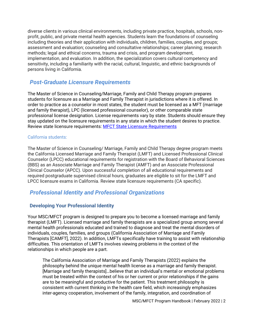diverse clients in various clinical environments, including private practice, hospitals, schools, nonprofit, public, and private mental health agencies. Students learn the foundations of counseling including theories and their application with individuals, children, families, couples, and groups; assessment and evaluation; counseling and consultative relationships; career planning; research methods; legal and ethical concerns, trauma and crisis, and program development, implementation, and evaluation. In addition, the specialization covers cultural competency and sensitivity, including a familiarity with the racial, cultural, linguistic, and ethnic backgrounds of persons living in California.

### <span id="page-4-0"></span>*Post-Graduate Licensure Requirements*

The Master of Science in Counseling/Marriage, Family and Child Therapy program prepares students for licensure as a Marriage and Family Therapist in jurisdictions where it is offered. In order to practice as a counselor in most states, the student must be licensed as a MFT (marriage and family therapist), LPC (licensed professional counselor), or other comparable state professional license designation. License requirements vary by state. Students should ensure they stay updated on the licensure requirements in any state in which the student desires to practice. Review state licensure requirements: **MFCT State Licensure Requirements** 

#### California students:

The Master of Science in Counseling/ Marriage, Family and Child Therapy degree program meets the California Licensed Marriage and Family Therapist (LMFT) and Licensed Professional Clinical Counselor (LPCC) educational requirements for registration with the Board of Behavioral Sciences (BBS) as an Associate Marriage and Family Therapist (AMFT) and an Associate Professional Clinical Counselor (APCC). Upon successful completion of all educational requirements and required postgraduate supervised clinical hours, graduates are eligible to sit for the LMFT and LPCC licensure exams in California. Review state licensure requirements (CA specific).

### <span id="page-4-1"></span>*Professional Identity and Professional Organizations*

#### <span id="page-4-2"></span>**Developing Your Professional Identity**

Your MSC/MFCT program is designed to prepare you to become a licensed marriage and family therapist (LMFT). Licensed marriage and family therapists are a specialized group among several mental health professionals educated and trained to diagnose and treat the mental disorders of individuals, couples, families, and groups (California Association of Marriage and Family Therapists [CAMFT], 2022). In addition, LMFTs specifically have training to assist with relationship difficulties. This orientation of LMFTs involves viewing problems in the context of the relationships in which people are a part.

The California Association of Marriage and Family Therapists (2022) explains the philosophy behind the unique mental health license as a marriage and family therapist. [Marriage and family therapists]…believe that an individual's mental or emotional problems must be treated within the context of his or her current or prior relationships if the gains are to be meaningful and productive for the patient. This treatment philosophy is consistent with current thinking in the health care field, which increasingly emphasizes inter-agency cooperation, involvement of the family, integration, and coordination of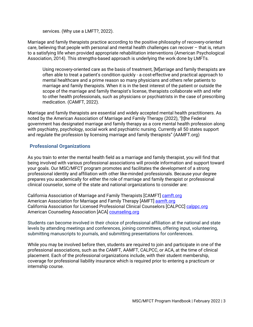services. (Why use a LMFT?, 2022).

Marriage and family therapists practice according to the positive philosophy of recovery-oriented care, believing that people with personal and mental health challenges can recover – that is, return to a satisfying life when provided appropriate rehabilitation interventions (American Psychological Association, 2014). This strengths-based approach is underlying the work done by LMFTs.

Using recovery-oriented care as the basis of treatment, [M]arriage and family therapists are often able to treat a patient's condition quickly - a cost-effective and practical approach to mental healthcare and a prime reason so many physicians and others refer patients to marriage and family therapists. When it is in the best interest of the patient or outside the scope of the marriage and family therapist's license, therapists collaborate with and refer to other health professionals, such as physicians or psychiatrists in the case of prescribing medication. (CAMFT, 2022).

Marriage and family therapists are essential and widely accepted mental health practitioners. As noted by the American Association of Marriage and Family Therapy (2022), "[t]he Federal government has designated marriage and family therapy as a core mental health profession along with psychiatry, psychology, social work and psychiatric nursing. Currently all 50 states support and regulate the profession by licensing marriage and family therapists" (AAMFT.org)

#### <span id="page-5-0"></span>**Professional Organizations**

As you train to enter the mental health field as a marriage and family therapist, you will find that being involved with various professional associations will provide information and support toward your goals. Our MSC/MFCT program promotes and facilitates the development of a strong professional identity and affiliation with other like-minded professionals. Because your degree prepares you academically for either the role of marriage and family therapist or professional clinical counselor, some of the state and national organizations to consider are:

California Association of Marriage and Family Therapists [CAMFT] [camft.org](https://www.camft.org/) American Association for Marriage and Family Therapy [AMFT] [aamft.org](https://aamft.org/) California Association for Licensed Professional Clinical Counselors [CALPCC] [calppc.org](https://calpcc.org/) American Counseling Association [ACA] [counseling.org](https://www.counseling.org/)

Students can become involved in their choice of professional affiliation at the national and state levels by attending meetings and conferences, joining committees, offering input, volunteering, submitting manuscripts to journals, and submitting presentations for conferences.

While you may be involved before then, students are required to join and participate in one of the professional associations, such as the CAMFT, AAMFT, CALPCC, or ACA, at the time of clinical placement. Each of the professional organizations include, with their student membership, coverage for professional liability insurance which is required prior to entering a practicum or internship course.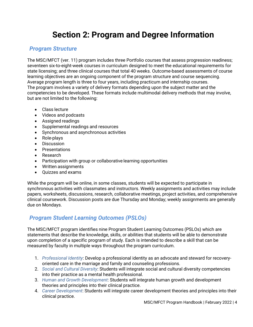# **Section 2: Program and Degree Information**

## <span id="page-6-1"></span><span id="page-6-0"></span>*Program Structure*

The MSC/MFCT (ver. 11) program includes three Portfolio courses that assess progression readiness; seventeen six-to-eight-week courses in curriculum designed to meet the educational requirements for state licensing; and three clinical courses that total 40 weeks. Outcome-based assessments of course learning objectives are an ongoing component of the program structure and course sequencing. Average program length is three to four years, including practicum and internship courses. The program involves a variety of delivery formats depending upon the subject matter and the competencies to be developed. These formats include multimodal delivery methods that may involve, but are not limited to the following:

- Class lecture
- Videos and podcasts
- Assigned readings
- Supplemental readings and resources
- Synchronous and asynchronous activities
- Role-plays
- Discussion
- Presentations
- Research
- Participation with group or collaborative learning opportunities
- Written assignments
- Quizzes and exams

While the program will be online, in some classes, students will be expected to participate in synchronous activities with classmates and instructors. Weekly assignments and activities may include papers, worksheets, discussions, research, collaborative meetings, project activities, and comprehensive clinical coursework. Discussion posts are due Thursday and Monday; weekly assignments are generally due on Mondays.

## <span id="page-6-2"></span>*Program Student Learning Outcomes (PSLOs)*

The MSC/MFCT program identifies nine Program Student Learning Outcomes (PSLOs) which are statements that describe the knowledge, skills, or abilities that students will be able to demonstrate upon completion of a specific program of study. Each is intended to describe a skill that can be measured by faculty in multiple ways throughout the program curriculum.

- 1. *Professional Identity*: Develop a professional identity as an advocate and steward for recoveryoriented care in the marriage and family and counseling professions.
- 2. *Social and Cultural Diversity*: Students will integrate social and cultural diversity competencies into their practice as a mental health professional.
- 3. *Human and Growth Development*: Students will integrate human growth and development theories and principles into their clinical practice.
- 4. *Career Development*: Students will integrate career development theories and principles into their clinical practice.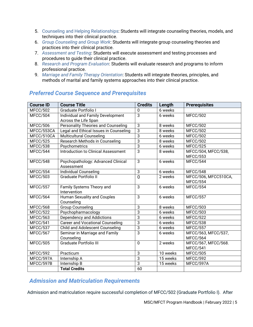- 5. Counseling and Helping Relationships: Students will integrate counseling theories, models, and techniques into their clinical practice.
- 6. *Group Counseling and Group Work*: Students will integrate group counseling theories and practices into their clinical practice.
- 7. *Assessment and Testing*: Students will execute assessment and testing processes and procedures to guide their clinical practice.
- 8. *Research and Program Evaluation*: Students will evaluate research and programs to inform professional practice.
- 9. *Marriage and Family Therapy Orientation*: Students will integrate theories, principles, and methods of marital and family systems approaches into their clinical practice.

| <b>Course ID</b> | <b>Course Title</b>                                       | <b>Credits</b> | Length   | <b>Prerequisites</b>                   |
|------------------|-----------------------------------------------------------|----------------|----------|----------------------------------------|
| <b>MFCC/502</b>  | <b>Graduate Portfolio I</b>                               | 0              | 6 weeks  |                                        |
| MFCC/504         | Individual and Family Development<br>Across the Life Span | $\overline{3}$ | 6 weeks  | <b>MFCC/502</b>                        |
| <b>MFCC/506</b>  | Personality Theories and Counseling                       | $\overline{3}$ | 8 weeks  | <b>MFCC/502</b>                        |
| MFCC/553CA       | Legal and Ethical Issues in Counseling                    | $\overline{3}$ | 8 weeks  | <b>MFCC/502</b>                        |
| MFCC/510CA       | <b>Multicultural Counseling</b>                           | $\overline{3}$ | 6 weeks  | <b>MFCC/502</b>                        |
| <b>MFCC/525</b>  | Research Methods in Counseling                            | $\overline{3}$ | 8 weeks  | MFCC/502                               |
| MFCC/538         | Psychometrics                                             | $\overline{3}$ | 6 weeks  | MFCC/525                               |
| MFCC/544         | <b>Introduction to Clinical Assessment</b>                | $\overline{3}$ | 8 weeks  | MFCC/504, MFCC/538,<br><b>MFCC/553</b> |
| MFCC/548         | Psychopathology: Advanced Clinical<br>Assessment          | 3              | 6 weeks  | MFCC/544                               |
| <b>MFCC/554</b>  | <b>Individual Counseling</b>                              | $\overline{3}$ | 6 weeks  | MFCC/548                               |
| <b>MFCC/503</b>  | <b>Graduate Portfolio II</b>                              | $\overline{0}$ | 2 weeks  | MFCC/506, MFCC510CA,<br>MFCC/554       |
| <b>MFCC/557</b>  | Family Systems Theory and<br>Intervention                 | 3              | 6 weeks  | <b>MFCC/554</b>                        |
| MFCC/564         | <b>Human Sexuality and Couples</b><br>Counseling          | 3              | 6 weeks  | MFCC/557                               |
| <b>MFCC/568</b>  | <b>Group Counseling</b>                                   | $\overline{3}$ | 8 weeks  | <b>MFCC/503</b>                        |
| <b>MFCC/522</b>  | Psychopharmacology                                        | $\overline{3}$ | 6 weeks  | <b>MFCC/503</b>                        |
| <b>MFCC/563</b>  | Dependency and Addictions                                 | $\overline{3}$ | 6 weeks  | <b>MFCC/522</b>                        |
| MFCC/541         | <b>Career and Vocational Counseling</b>                   | $\overline{3}$ | 6 weeks  | <b>MFCC/538</b>                        |
| MFCC/537         | <b>Child and Adolescent Counseling</b>                    | 3              | 6 weeks  | <b>MFCC/557</b>                        |
| <b>MFCC/567</b>  | Seminar in Marriage and Family<br>Counseling              | $\overline{3}$ | 6 weeks  | MFCC/563, MFCC/537,<br>MFCC/564        |
| <b>MFCC/505</b>  | <b>Graduate Portfolio III</b>                             | $\mathbf 0$    | 2 weeks  | MFCC/567, MFCC/568.<br>MFCC/541        |
| MFCC/592         | Practicum                                                 | 3              | 10 weeks | <b>MFCC/505</b>                        |
| MFCC/597A        | Internship A                                              | $\overline{3}$ | 15 weeks | MFCC/592                               |
| MFCC/597B        | Internship B                                              | $\overline{3}$ | 15 weeks | MFCC/597A                              |
|                  | <b>Total Credits</b>                                      | 60             |          |                                        |

## <span id="page-7-0"></span>*Preferred Course Sequence and Prerequisites*

## <span id="page-7-1"></span>*Admission and Matriculation Requirements*

Admission and matriculation require successful completion of MFCC/502 (Graduate Portfolio I). After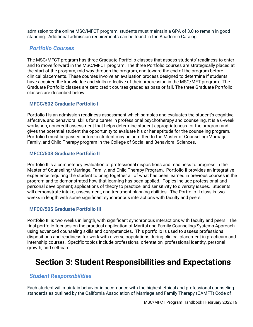admission to the online MSC/MFCT program, students must maintain a GPA of 3.0 to remain in good standing. Additional admission requirements can be found in the Academic Catalog.

## <span id="page-8-0"></span>*Portfolio Courses*

The MSC/MFCT program has three Graduate Portfolio classes that assess students' readiness to enter and to move forward in the MSC/MFCT program. The three Portfolio courses are strategically placed at the start of the program, mid-way through the program, and toward the end of the program before clinical placements. These courses involve an evaluation process designed to determine if students have acquired the knowledge and skills reflective of their progression in the MSC/MFT program. The Graduate Portfolio classes are zero credit courses graded as pass or fail. The three Graduate Portfolio classes are described below:

#### <span id="page-8-1"></span>**MFCC/502 Graduate Portfolio I**

Portfolio I is an admission readiness assessment which samples and evaluates the student's cognitive, affective, and behavioral skills for a career in professional psychotherapy and counseling. It is a 6-week workshop, noncredit assessment that helps determine student appropriateness for the program and gives the potential student the opportunity to evaluate his or her aptitude for the counseling program. Portfolio I must be passed before a student may be admitted to the Master of Counseling/Marriage, Family, and Child Therapy program in the College of Social and Behavioral Sciences.

#### <span id="page-8-2"></span>**MFCC/503 Graduate Portfolio II**

Portfolio II is a competency evaluation of professional dispositions and readiness to progress in the Master of Counseling/Marriage, Family, and Child Therapy Program. Portfolio II provides an integrative experience requiring the student to bring together all of what has been learned in previous courses in the program and to demonstrated how that learning has been applied. Topics include professional and personal development; applications of theory to practice; and sensitivity to diversity issues. Students will demonstrate intake, assessment, and treatment planning abilities. The Portfolio II class is two weeks in length with some significant synchronous interactions with faculty and peers.

#### <span id="page-8-3"></span>**MFCC/505 Graduate Portfolio III**

Portfolio III is two weeks in length, with significant synchronous interactions with faculty and peers. The final portfolio focuses on the practical application of Marital and Family Counseling/Systems Approach using advanced counseling skills and competencies. This portfolio is used to assess professional dispositions and readiness for work with diverse populations during clinical placement in practicum and internship courses. Specific topics include professional orientation, professional identity, personal growth, and self-care.

## <span id="page-8-4"></span>**Section 3: Student Responsibilities and Expectations**

### <span id="page-8-5"></span>*Student Responsibilities*

Each student will maintain behavior in accordance with the highest ethical and professional counseling standards as outlined by the California Association of Marriage and Family Therapy (CAMFT) Code of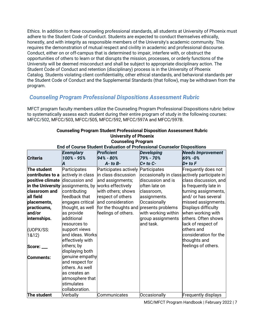Ethics. In addition to these counseling professional standards, all students at University of Phoenix must adhere to the Student Code of Conduct. Students are expected to conduct themselves ethically, honestly, and with integrity as responsible members of the University's academic community. This requires the demonstration of mutual respect and civility in academic and professional discourse. Conduct, either on or off-campus that is determined to impair, interfere with, or obstruct the opportunities of others to learn or that disrupts the mission, processes, or orderly functions of the University will be deemed misconduct and shall be subject to appropriate disciplinary action. The Student Code of Conduct and retention (disciplinary) process is in the University of Phoenix Catalog. Students violating client confidentiality, other ethical standards, and behavioral standards per the Student Code of Conduct and the Supplemental Standards (that follow), may be withdrawn from the program.

## <span id="page-9-0"></span>*Counseling Program Professional Dispositions Assessment Rubric*

MFCT program faculty members utilize the Counseling Program Professional Dispositions rubric below to systematically assess each student during their entire program of study in the following courses: MFCC/502, MFCC/503, MFCC/505, MFCC/592, MFCC/597A and MFCC/597B.

| Gounseling Program<br>End of Course Student Evaluation of Professional Counselor Dispositions |                   |                                    |                     |                                               |
|-----------------------------------------------------------------------------------------------|-------------------|------------------------------------|---------------------|-----------------------------------------------|
|                                                                                               | <b>Exemplary</b>  | <b>Proficient</b>                  | <b>Developing</b>   | <b>Needs Improvement</b>                      |
| <b>Criteria</b>                                                                               | 100% - 95%        | 94% - 80%                          | 79% - 70%           | 69% - 0%                                      |
|                                                                                               | Α                 | $A - to B -$                       | $C+$ to $C-$        | $D+$ to $F$                                   |
| The student                                                                                   | Participates      | Participates actively Participates |                     | Frequently does not                           |
| contributes to a                                                                              | actively in class | lin class discussion               |                     | occasionally in class actively participate in |
| positive climate                                                                              | discussion and    | and assignments;                   | discussion and is   | class discussion, and                         |
| in the University                                                                             | assignments, by   | works effectively                  | often late on       | is frequently late in                         |
| classroom and                                                                                 | contributing      | with others; shows                 | classroom,          | turning assignments,                          |
| all field                                                                                     | feedback that     | respect of others                  | assignments.        | and/ or has several                           |
| placements,                                                                                   | engages critical  | and consideration                  | Occasionally        | missed assignments.                           |
| practicums,                                                                                   | thought, as well  | for the thoughts and               | presents problems   | Displays difficulty                           |
| and/or                                                                                        | as provide        | feelings of others.                | with working within | when working with                             |
| internships.                                                                                  | additional        |                                    | group assignments   | others. Often shows                           |
|                                                                                               | resources to      |                                    | and task.           | lack of respect of                            |
| (UOPX/SS:                                                                                     | support views     |                                    |                     | others and                                    |
| 1&12)                                                                                         | and ideas. Works  |                                    |                     | consideration for the                         |
|                                                                                               | effectively with  |                                    |                     | thoughts and                                  |
| Score: ___                                                                                    | others; by        |                                    |                     | feelings of others.                           |
|                                                                                               | displaying both   |                                    |                     |                                               |
| Comments:                                                                                     | genuine empathy   |                                    |                     |                                               |
|                                                                                               | and respect for   |                                    |                     |                                               |
|                                                                                               | others. As well   |                                    |                     |                                               |
|                                                                                               | as creates an     |                                    |                     |                                               |
|                                                                                               | atmosphere that   |                                    |                     |                                               |
|                                                                                               | stimulates        |                                    |                     |                                               |
|                                                                                               | collaboration.    |                                    |                     |                                               |
| The student                                                                                   | Verbally          | Communicates                       | Occasionally        | <b>Frequently displays</b>                    |

#### **Counseling Program Student Professional Disposition Assessment Rubric University of Phoenix Counseling Program**

MSC/MFCT Program Handbook | February 2022 | 7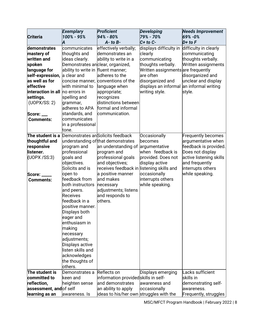|                                        | <b>Exemplary</b>                   | <b>Proficient</b>                                  | <b>Developing</b>                  | <b>Needs Improvement</b>  |
|----------------------------------------|------------------------------------|----------------------------------------------------|------------------------------------|---------------------------|
| <b>Criteria</b>                        | 100% - 95%                         | 94% - 80%                                          | 79% - 70%                          | 69% - 0%                  |
|                                        | A                                  | $A - to B -$                                       | $C+$ to $C-$                       | $D+$ to $F$               |
| demonstrates                           | communicates                       | effectively verbally;                              | displays difficulty in             | difficulty in clearly     |
| mastery of                             | thoughts and                       | ldemonstrates an                                   | clearly                            | communicating             |
| written and                            | ideas clearly.                     | ability to write in a                              | communicating                      | thoughts verbally.        |
| spoken                                 | Demonstrates anclear, organized,   |                                                    | thoughts verbally.                 | Written assignments       |
| language for                           | ability to write in fluent manner; |                                                    | Written assignments are frequently |                           |
| self-expression,                       | a clear and                        | adheres to the                                     | are often                          | disorganized and          |
| as well as for                         |                                    | concise manner, conventions of the                 | disorganized and                   | unclear and display       |
| effective                              | with minimal to                    | language when                                      | displays an informal               | an informal writing       |
| <b>interaction in all</b> no errors in |                                    | appropriate;                                       | writing style.                     | style.                    |
| settings.                              | spelling and                       | recognizes                                         |                                    |                           |
| (UOPX/SS: 2)                           | grammar,                           | distinctions between                               |                                    |                           |
|                                        | adheres to APA                     | formal and informal                                |                                    |                           |
| Score:                                 | standards, and                     | communication.                                     |                                    |                           |
| <b>Comments:</b>                       | communicates                       |                                                    |                                    |                           |
|                                        | in a professional                  |                                                    |                                    |                           |
|                                        | tone.                              |                                                    |                                    |                           |
|                                        |                                    | The student is a Demonstrates an Solicits feedback | Occasionally                       | <b>Frequently becomes</b> |
| thoughtful and                         |                                    | understanding of that demonstrates                 | becomes                            | argumentative when        |
| responsive                             | program and                        | an understanding of argumentative                  |                                    | feedback is provided.     |
| listener.                              | professional                       | program and                                        | when feedback is                   | Does not display          |
| (UOPX /SS:3)                           | goals and                          | professional goals                                 | provided. Does not                 | active listening skills   |
|                                        | objectives.                        | and objectives;                                    | display active                     | and frequently            |
|                                        | Solicits and is                    | receives feedback in listening skills and          |                                    | interrupts others         |
| Score: __                              | open to                            | a positive manner                                  | occasionally                       | while speaking.           |
| <b>Comments:</b>                       | feedback from                      | and makes                                          | interrupts others                  |                           |
|                                        | both instructors                   | necessary                                          | while speaking.                    |                           |
|                                        | and peers.                         | adjustments; listens                               |                                    |                           |
|                                        | Receives                           | and responds to                                    |                                    |                           |
|                                        | feedback in a                      | others.                                            |                                    |                           |
|                                        | positive manner.                   |                                                    |                                    |                           |
|                                        | Displays both                      |                                                    |                                    |                           |
|                                        | eager and                          |                                                    |                                    |                           |
|                                        | enthusiasm in                      |                                                    |                                    |                           |
|                                        | making                             |                                                    |                                    |                           |
|                                        | necessary                          |                                                    |                                    |                           |
|                                        | adjustments;                       |                                                    |                                    |                           |
|                                        | Displays active                    |                                                    |                                    |                           |
|                                        | llisten skills and                 |                                                    |                                    |                           |
|                                        | acknowledges                       |                                                    |                                    |                           |
|                                        | the thoughts of                    |                                                    |                                    |                           |
|                                        | others.                            |                                                    |                                    |                           |
| The student is                         | Demonstrates a                     | Reflects on                                        | Displays emerging                  | Lacks sufficient          |
| committed to                           | keen and                           | information providedskills in self-                |                                    | skills in                 |
| reflection,                            | heighten sense                     | and demonstrates                                   | awareness and                      | demonstrating self-       |
| assessment, andof self                 |                                    | an ability to apply                                | occasionally                       | awareness.                |
| learning as an                         | awareness. Is                      | ideas to his/her own struggles with the            |                                    | Frequently, struggles     |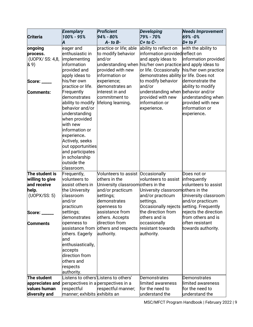|                     | <b>Exemplary</b>             | <b>Proficient</b>                                          | <b>Developing</b>                      | <b>Needs Improvement</b> |
|---------------------|------------------------------|------------------------------------------------------------|----------------------------------------|--------------------------|
| <b>Criteria</b>     | 100% - 95%                   | 94% - 80%<br>$A - to B -$                                  | 79% - 70%<br>$C+$ to $C-$              | 69% - 0%<br>$D+$ to $F$  |
|                     | Α                            |                                                            |                                        |                          |
| ongoing<br>process. | eager and<br>enthusiastic in | practice or life; able                                     | ability to reflect on                  | with the ability to      |
|                     |                              | to modify behavior                                         | information providedreflect on         |                          |
| (UOPX/ SS: 4,8,     | implementing                 | and/or                                                     | and apply ideas to                     | information provided     |
| 89)                 | information                  | understanding when his/her own practice and apply ideas to |                                        |                          |
|                     | provided and                 | provided with new                                          | or life. Occasionally                  | his/her own practice     |
|                     | apply ideas to               | information or                                             | demonstrates ability or life. Does not |                          |
| Score: __           | his/her own                  | experience;                                                | to modify behavior                     | demonstrate the          |
|                     | practice or life.            | demonstrates an                                            | and/or                                 | ability to modify        |
| <b>Comments:</b>    | Frequently                   | interest in and                                            | understanding when behavior and/or     |                          |
|                     | demonstrates                 | commitment to                                              | provided with new                      | understanding when       |
|                     | ability to modify            | lifelong learning.                                         | information or                         | provided with new        |
|                     | behavior and/or              |                                                            | experience.                            | information or           |
|                     | understanding                |                                                            |                                        | experience.              |
|                     | when provided                |                                                            |                                        |                          |
|                     | with new                     |                                                            |                                        |                          |
|                     | information or               |                                                            |                                        |                          |
|                     | experience.                  |                                                            |                                        |                          |
|                     | Actively, seeks              |                                                            |                                        |                          |
|                     | out opportunities            |                                                            |                                        |                          |
|                     | and participates             |                                                            |                                        |                          |
|                     | in scholarship               |                                                            |                                        |                          |
|                     | outside the                  |                                                            |                                        |                          |
|                     | classroom.                   |                                                            |                                        |                          |
| The student is      |                              |                                                            |                                        |                          |
|                     | Frequently,<br>volunteers to | Volunteers to assist   Occasionally<br>others in the       | volunteers to assist                   | Does not or              |
| willing to give     |                              |                                                            |                                        | infrequently             |
| and receive         | assist others in             | University classroomothers in the                          |                                        | volunteers to assist     |
| help.               | the University               | and/or practicum                                           | University classroomothers in the      |                          |
| (UOPX/SS: 5)        | classroom                    | settings;                                                  | and/or practicum                       | University classroom     |
|                     | and/or                       | demonstrates                                               | settings.                              | and/or practicum         |
|                     | practicum                    | openness to                                                | Occasionally rejects                   | setting. Frequently      |
| Score:              | settings;                    | lassistance from                                           | the direction from                     | rejects the direction    |
|                     | demonstrates                 | others. Accepts                                            | others and is                          | from others and is       |
| <b>Comments</b>     | openness to                  | direction from                                             | occasionally                           | often resistant          |
|                     | assistance from              | others and respects                                        | resistant towards                      | towards authority.       |
|                     | others. Eagerly              | authority.                                                 | authority.                             |                          |
|                     | land                         |                                                            |                                        |                          |
|                     | enthusiastically,            |                                                            |                                        |                          |
|                     | accepts                      |                                                            |                                        |                          |
|                     | direction from               |                                                            |                                        |                          |
|                     | others and                   |                                                            |                                        |                          |
|                     | respects                     |                                                            |                                        |                          |
|                     | authority.                   |                                                            |                                        |                          |
| The student         |                              | Listens to others'Listens to others'                       | Demonstrates                           | Demonstrates             |
| appreciates and     |                              | perspectives in a perspectives in a                        | limited awareness                      | limited awareness        |
| values human        | respectful                   | respectful manner;                                         | for the need to                        | for the need to          |
| diversity and       | manner; exhibits exhibits an |                                                            | understand the                         | understand the           |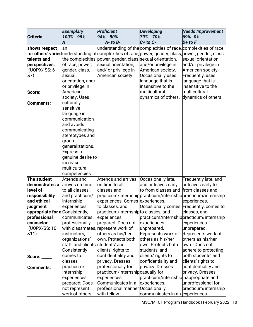|                                 | <b>Exemplary</b>                  | <b>Proficient</b>                                          | <b>Developing</b>                      | <b>Needs Improvement</b>                                                                              |
|---------------------------------|-----------------------------------|------------------------------------------------------------|----------------------------------------|-------------------------------------------------------------------------------------------------------|
| <b>Criteria</b>                 | 100% - 95%                        | 94% - 80%                                                  | 79% - 70%                              | 69% - 0%                                                                                              |
|                                 | A                                 | $A - to B -$                                               | $C+$ to $C-$                           | $D+$ to $F$                                                                                           |
| shows respect                   | lan                               |                                                            |                                        | understanding of the complexities of race, complexities of race,                                      |
|                                 |                                   |                                                            |                                        | for others' varied understanding of complexities of race, power, gender, class, power, gender, class, |
| talents and                     |                                   | the complexities power, gender, class, sexual orientation, |                                        | sexual orientation,                                                                                   |
| perspectives.                   | of race, power,                   | sexual orientation,                                        | and/or privilege in                    | and/or privilege in                                                                                   |
| (UOPX/ SS: 6                    | gender, class,                    | and/ or privilege in                                       | American society.                      | American society.                                                                                     |
| &7)                             | sexual                            | American society.                                          | Occasionally uses                      | Frequently, uses                                                                                      |
|                                 | orientation, and/                 |                                                            | language that is                       | language that is                                                                                      |
|                                 | or privilege in                   |                                                            | insensitive to the                     | insensitive to the                                                                                    |
| Score: ____                     | American                          |                                                            | multicultural                          | multicultural                                                                                         |
|                                 | society. Uses                     |                                                            | dynamics of others.                    | dynamics of others.                                                                                   |
| Comments:                       | culturally                        |                                                            |                                        |                                                                                                       |
|                                 | sensitive                         |                                                            |                                        |                                                                                                       |
|                                 | language in                       |                                                            |                                        |                                                                                                       |
|                                 | communication                     |                                                            |                                        |                                                                                                       |
|                                 | and avoids                        |                                                            |                                        |                                                                                                       |
|                                 | communicating                     |                                                            |                                        |                                                                                                       |
|                                 | stereotypes and                   |                                                            |                                        |                                                                                                       |
|                                 | group                             |                                                            |                                        |                                                                                                       |
|                                 | generalizations.                  |                                                            |                                        |                                                                                                       |
|                                 | Express a                         |                                                            |                                        |                                                                                                       |
|                                 | genuine desire to                 |                                                            |                                        |                                                                                                       |
|                                 | increase                          |                                                            |                                        |                                                                                                       |
|                                 | multicultural                     |                                                            |                                        |                                                                                                       |
|                                 | competencies.                     |                                                            |                                        |                                                                                                       |
| The student                     | Attends and                       | <b>Attends and arrives</b>                                 | Occasionally late,                     | Frequently late, and                                                                                  |
| demonstrates a                  | arrives on time                   | on time to all                                             | and or leaves early                    | or leaves early to                                                                                    |
| level of                        | to all classes,                   | classes and                                                | to from classes and                    | from classes and                                                                                      |
| responsibility                  | and practicum/                    |                                                            |                                        | practicum/internshippracticum/internshippracticum/internship                                          |
| and ethical                     | internship                        | experiences. Comes experiences.                            |                                        | experiences.                                                                                          |
| judgment                        | experiences                       | to classes, and                                            |                                        | Occasionally comes Frequently, comes to                                                               |
| appropriate for a Consistently, |                                   | practicum/internshipto classes, and                        |                                        | classes, and                                                                                          |
| professional                    | communicates                      | experiences                                                |                                        | practicum/internshippracticum/internship                                                              |
| counselor.                      | professionally                    | prepared. Does not                                         | experiences                            | experiences                                                                                           |
| (UOPX/SS: 10                    |                                   | with classmates, represent work of                         | unprepared.                            | unprepared.                                                                                           |
| 811)                            | instructors,                      | others as his/her                                          | Represents work of                     | Represents work of                                                                                    |
|                                 | organizations',                   | own. Protects both                                         | others as his/her                      | others as his/her                                                                                     |
|                                 | staff, and clients; students' and |                                                            | own. Protects both                     | own. Does not                                                                                         |
|                                 | Consistently                      | clients' rights to                                         | students' and                          | adhere to protecting                                                                                  |
| Score: ___                      | comes to                          | confidentiality and                                        | clients' rights to                     | both students' and                                                                                    |
|                                 | classes,                          | privacy. Dresses                                           | confidentiality and                    | clients' rights to                                                                                    |
| Comments:                       | practicum/                        | professionally for                                         | privacy. Dresses                       | confidentiality and                                                                                   |
|                                 | Internship                        | practicum/internshipcasually for                           |                                        | privacy. Dresses                                                                                      |
|                                 | experiences                       | experiences.                                               | practicum/internship inappropriate and |                                                                                                       |
|                                 | prepared; Does                    | Communicates in a                                          | experiences.                           | unprofessional for                                                                                    |
|                                 | not represent                     | professional manner Occasionally,                          |                                        | practicum/internship                                                                                  |
|                                 | work of others                    | with fellow                                                | communicates in an experiences.        |                                                                                                       |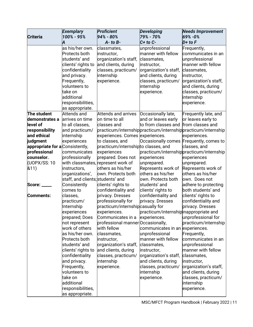|                                 | <b>Exemplary</b>                  | <b>Proficient</b>                   | <b>Developing</b>                      | <b>Needs Improvement</b>                                     |
|---------------------------------|-----------------------------------|-------------------------------------|----------------------------------------|--------------------------------------------------------------|
| <b>Criteria</b>                 | 100% - 95%                        | 94% - 80%                           | 79% - 70%                              | 69% - 0%                                                     |
|                                 | A                                 | $A - to B -$                        | $C+$ to $C-$                           | $D+$ to $F$                                                  |
|                                 | as his/her own.                   | classmates,                         | unprofessional                         | Frequently,                                                  |
|                                 | Protects both                     | instructor,                         | manner with fellow                     | communicates in an                                           |
|                                 | students' and                     | organization's staff,               | classmates,                            | unprofessional                                               |
|                                 | clients' rights to                | and clients, during                 | instructor,                            | manner with fellow                                           |
|                                 | confidentiality                   | classes, practicum/                 | organization's staff,                  | classmates,                                                  |
|                                 | and privacy.                      | internship                          | and clients, during                    | instructor,                                                  |
|                                 | Frequently,                       | experience.                         | classes, practicum/                    | organization's staff,                                        |
|                                 | volunteers to                     |                                     | internship                             | and clients, during                                          |
|                                 | take on                           |                                     | experience.                            | classes, practicum/                                          |
|                                 | additional                        |                                     |                                        | internship                                                   |
|                                 | responsibilities,                 |                                     |                                        | experience.                                                  |
|                                 | as appropriate.                   |                                     |                                        |                                                              |
| The student                     | Attends and                       | <b>Attends and arrives</b>          | Occasionally late,                     | Frequently late, and                                         |
| demonstrates a                  | arrives on time                   | on time to all                      | and or leaves early                    | or leaves early to                                           |
| level of                        | to all classes,                   | classes and                         | to from classes and                    | from classes and                                             |
| responsibility                  | and practicum/                    |                                     |                                        | practicum/internshippracticum/internshippracticum/internship |
| and ethical                     | internship                        | experiences. Comes experiences.     |                                        | experiences.                                                 |
| judgment                        | experiences                       | to classes, and                     |                                        | Occasionally comes Frequently, comes to                      |
| appropriate for a Consistently, |                                   | practicum/internshipto classes, and |                                        | classes, and                                                 |
| professional                    | communicates                      | experiences                         |                                        | practicum/internshippracticum/internship                     |
| counselor.                      | professionally                    | prepared. Does not                  | experiences                            | experiences                                                  |
| (UOPX/SS: 10                    |                                   | with classmates, represent work of  | unprepared.                            | unprepared.                                                  |
| &11)                            | instructors,                      | others as his/her                   | Represents work of                     | Represents work of                                           |
|                                 | organizations',                   | own. Protects both                  | others as his/her                      | others as his/her                                            |
|                                 | staff, and clients; students' and |                                     | own. Protects both                     | own. Does not                                                |
| Score:                          | Consistently                      | clients' rights to                  | students' and                          | adhere to protecting                                         |
|                                 | comes to                          | confidentiality and                 | clients' rights to                     | both students' and                                           |
| Comments:                       | classes,                          | privacy. Dresses                    | confidentiality and                    | clients' rights to                                           |
|                                 | practicum/                        | professionally for                  | privacy. Dresses                       | confidentiality and                                          |
|                                 | Internship                        | practicum/internshipcasually for    |                                        | privacy. Dresses                                             |
|                                 | experiences                       | experiences.                        | practicum/internship inappropriate and |                                                              |
|                                 | prepared; Does                    | Communicates in a                   | experiences.                           | unprofessional for                                           |
|                                 | not represent                     | professional manner Occasionally,   |                                        | practicum/internship                                         |
|                                 | work of others                    | with fellow                         | communicates in an experiences.        |                                                              |
|                                 | as his/her own.                   | classmates,                         | unprofessional                         | Frequently,                                                  |
|                                 | Protects both                     | instructor,                         | manner with fellow                     | communicates in an                                           |
|                                 | students' and                     | organization's staff,               | classmates,                            | unprofessional                                               |
|                                 | clients' rights to                | and clients, during                 | instructor,                            | manner with fellow                                           |
|                                 | confidentiality                   | classes, practicum/                 | organization's staff,                  | classmates,                                                  |
|                                 | and privacy.                      | internship                          | and clients, during                    | instructor,                                                  |
|                                 | Frequently,                       | experience.                         | classes, practicum/                    | organization's staff,                                        |
|                                 | volunteers to                     |                                     | internship                             | and clients, during                                          |
|                                 | take on                           |                                     | experience.                            | classes, practicum/                                          |
|                                 | additional                        |                                     |                                        | internship                                                   |
|                                 | responsibilities,                 |                                     |                                        | experience.                                                  |
|                                 | as appropriate.                   |                                     |                                        |                                                              |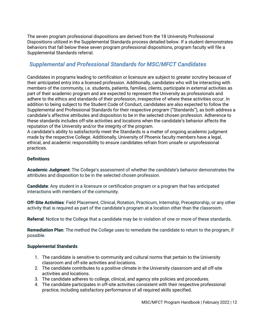The seven program professional dispositions are derived from the 18 University Professional Dispositions utilized in the Supplemental Standards process detailed below. If a student demonstrates behaviors that fall below these seven program professional dispositions, program faculty will file a Supplemental Standards referral.

## <span id="page-14-0"></span>*Supplemental and Professional Standards for MSC/MFCT Candidates*

Candidates in programs leading to certification or licensure are subject to greater scrutiny because of their anticipated entry into a licensed profession. Additionally, candidates who will be interacting with members of the community, i.e. students, patients, families, clients, participate in external activities as part of their academic program and are expected to represent the University as professionals and adhere to the ethics and standards of their profession, irrespective of where these activities occur. In addition to being subject to the Student Code of Conduct, candidates are also expected to follow the Supplemental and Professional Standards for their respective program ("Standards"), as both address a candidate's affective attributes and disposition to be in the selected chosen profession. Adherence to these standards includes off-site activities and locations when the candidate's behavior affects the reputation of the University and/or the integrity of the program.

A candidate's ability to satisfactorily meet the Standards is a matter of ongoing academic judgment made by the respective College. Additionally, University of Phoenix faculty members have a legal, ethical, and academic responsibility to ensure candidates refrain from unsafe or unprofessional practices.

#### **Definitions**

**Academic Judgment**: The College's assessment of whether the candidate's behavior demonstrates the attributes and disposition to be in the selected chosen profession.

**Candidate**: Any student in a licensure or certification program or a program that has anticipated interactions with members of the community.

**Off-Site Activities**: Field Placement, Clinical, Rotation, Practicum, Internship, Preceptorship, or any other activity that is required as part of the candidate's program at a location other than the classroom.

**Referral**: Notice to the College that a candidate may be in violation of one or more of these standards.

**Remediation Plan**: The method the College uses to remediate the candidate to return to the program, if possible.

#### **Supplemental Standards**

- 1. The candidate is sensitive to community and cultural norms that pertain to the University classroom and off-site activities and locations.
- 2. The candidate contributes to a positive climate in the University classroom and all off-site activities and locations.
- 3. The candidate adheres to college, clinical, and agency site policies and procedures.
- 4. The candidate participates in off-site activities consistent with their respective professional practice, including satisfactory performance of all required skills specified.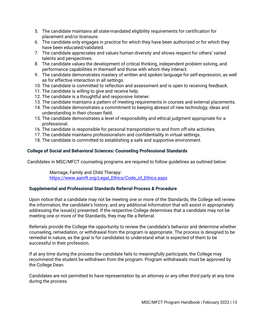- 5. The candidate maintains all state-mandated eligibility requirements for certification for placement and/or licensure.
- 6. The candidate only engages in practice for which they have been authorized or for which they have been educated/validated.
- 7. The candidate appreciates and values human diversity and shows respect for others' varied talents and perspectives.
- 8. The candidate values the development of critical thinking, independent problem solving, and performance capabilities in themself and those with whom they interact.
- 9. The candidate demonstrates mastery of written and spoken language for self-expression, as well as for effective interaction in all settings.
- 10. The candidate is committed to reflection and assessment and is open to receiving feedback.
- 11. The candidate is willing to give and receive help.
- 12. The candidate is a thoughtful and responsive listener.
- 13. The candidate maintains a pattern of meeting requirements in courses and external placements.
- 14. The candidate demonstrates a commitment to keeping abreast of new technology, ideas and understanding in their chosen field.
- 15. The candidate demonstrates a level of responsibility and ethical judgment appropriate for a professional.
- 16. The candidate is responsible for personal transportation to and from off-site activities.
- 17. The candidate maintains professionalism and confidentiality in virtual settings.
- 18. The candidate is committed to establishing a safe and supportive environment.

#### **College of Social and Behavioral Sciences: Counseling Professional Standards**

Candidates in MSC/MFCT counseling programs are required to follow guidelines as outlined below:

Marriage, Family and Child Therapy: [https://www.aamft.org/Legal\\_Ethics/Code\\_of\\_Ethics.aspx](https://www.aamft.org/Legal_Ethics/Code_of_Ethics.aspx)

#### **Supplemental and Professional Standards Referral Process & Procedure**

Upon notice that a candidate may not be meeting one or more of the Standards, the College will review the information, the candidate's history, and any additional information that will assist in appropriately addressing the issue(s) presented. If the respective College determines that a candidate may not be meeting one or more of the Standards, they may file a Referral.

Referrals provide the College the opportunity to review the candidate's behavior and determine whether counseling, remediation, or withdrawal from the program is appropriate. The process is designed to be remedial in nature, as the goal is for candidates to understand what is expected of them to be successful in their profession.

If at any time during the process the candidate fails to meaningfully participate, the College may recommend the student be withdrawn from the program. Program withdrawals must be approved by the College Dean.

Candidates are not permitted to have representation by an attorney or any other third party at any time during the process.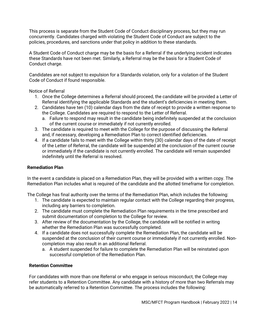This process is separate from the Student Code of Conduct disciplinary process, but they may run concurrently. Candidates charged with violating the Student Code of Conduct are subject to the policies, procedures, and sanctions under that policy in addition to these standards.

A Student Code of Conduct charge may be the basis for a Referral if the underlying incident indicates these Standards have not been met. Similarly, a Referral may be the basis for a Student Code of Conduct charge.

Candidates are not subject to expulsion for a Standards violation, only for a violation of the Student Code of Conduct if found responsible.

Notice of Referral

- 1. Once the College determines a Referral should proceed, the candidate will be provided a Letter of Referral identifying the applicable Standards and the student's deficiencies in meeting them.
- 2. Candidates have ten (10) calendar days from the date of receipt to provide a written response to the College. Candidates are required to respond to the Letter of Referral.
	- a. Failure to respond may result in the candidate being indefinitely suspended at the conclusion of the current course or immediately if not currently enrolled.
- 3. The candidate is required to meet with the College for the purpose of discussing the Referral and, if necessary, developing a Remediation Plan to correct identified deficiencies.
- 4. If a candidate fails to meet with the College within thirty (30) calendar days of the date of receipt of the Letter of Referral, the candidate will be suspended at the conclusion of the current course or immediately if the candidate is not currently enrolled. The candidate will remain suspended indefinitely until the Referral is resolved.

#### **Remediation Plan**

In the event a candidate is placed on a Remediation Plan, they will be provided with a written copy. The Remediation Plan includes what is required of the candidate and the allotted timeframe for completion.

The College has final authority over the terms of the Remediation Plan, which includes the following:

- 1. The candidate is expected to maintain regular contact with the College regarding their progress, including any barriers to completion.
- 2. The candidate must complete the Remediation Plan requirements in the time prescribed and submit documentation of completion to the College for review.
- 3. After review of the documentation by the College, the candidate will be notified in writing whether the Remediation Plan was successfully completed.
- 4. If a candidate does not successfully complete the Remediation Plan, the candidate will be suspended at the conclusion of their current course or immediately if not currently enrolled. Noncompletion may also result in an additional Referral.
	- a. A student suspended for failure to complete the Remediation Plan will be reinstated upon successful completion of the Remediation Plan.

#### **Retention Committee**

For candidates with more than one Referral or who engage in serious misconduct, the College may refer students to a Retention Committee. Any candidate with a history of more than two Referrals may be automatically referred to a Retention Committee. The process includes the following: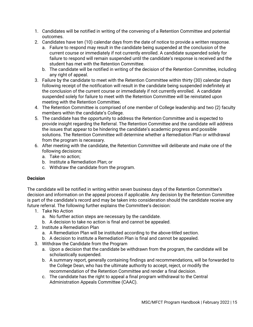- 1. Candidates will be notified in writing of the convening of a Retention Committee and potential outcomes.
- 2. Candidates have ten (10) calendar days from the date of notice to provide a written response.
	- a. Failure to respond may result in the candidate being suspended at the conclusion of the current course or immediately if not currently enrolled. A candidate suspended solely for failure to respond will remain suspended until the candidate's response is received and the student has met with the Retention Committee.
	- b. The candidate will be notified in writing of the decision of the Retention Committee, including any right of appeal.
- 3. Failure by the candidate to meet with the Retention Committee within thirty (30) calendar days following receipt of the notification will result in the candidate being suspended indefinitely at the conclusion of the current course or immediately if not currently enrolled. A candidate suspended solely for failure to meet with the Retention Committee will be reinstated upon meeting with the Retention Committee.
- 4. The Retention Committee is comprised of one member of College leadership and two (2) faculty members within the candidate's College.
- 5. The candidate has the opportunity to address the Retention Committee and is expected to provide insight regarding the Referral. The Retention Committee and the candidate will address the issues that appear to be hindering the candidate's academic progress and possible solutions. The Retention Committee will determine whether a Remediation Plan or withdrawal from the program is necessary.
- 6. After meeting with the candidate, the Retention Committee will deliberate and make one of the following decisions:
	- a. Take no action;
	- b. Institute a Remediation Plan; or
	- c. Withdraw the candidate from the program.

#### **Decision**

The candidate will be notified in writing within seven business days of the Retention Committee's decision and information on the appeal process if applicable. Any decision by the Retention Committee is part of the candidate's record and may be taken into consideration should the candidate receive any future referral. The following further explains the Committee's decision:

- 1. Take No Action
	- a. No further action steps are necessary by the candidate.
	- b. A decision to take no action is final and cannot be appealed.
- 2. Institute a Remediation Plan
	- a. A Remediation Plan will be instituted according to the above-titled section.
	- b. A decision to institute a Remediation Plan is final and cannot be appealed.
- 3. Withdraw the Candidate from the Program
	- a. Upon a decision that the candidate be withdrawn from the program, the candidate will be scholastically suspended.
	- b. A summary report, generally containing findings and recommendations, will be forwarded to the College Dean, who has the ultimate authority to accept, reject, or modify the recommendation of the Retention Committee and render a final decision.
	- c. The candidate has the right to appeal a final program withdrawal to the Central Administration Appeals Committee (CAAC).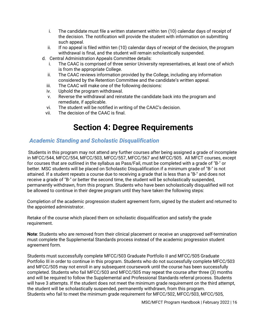- i. The candidate must file a written statement within ten (10) calendar days of receipt of the decision. The notification will provide the student with information on submitting such appeal.
- ii. If no appeal is filed within ten (10) calendar days of receipt of the decision, the program withdrawal is final, and the student will remain scholastically suspended.
- d. Central Administration Appeals Committee details:
	- i. The CAAC is comprised of three senior University representatives, at least one of which is from the appropriate College.
	- ii. The CAAC reviews information provided by the College, including any information considered by the Retention Committee and the candidate's written appeal.
	- iii. The CAAC will make one of the following decisions:
	- iv. Uphold the program withdrawal.
	- v. Reverse the withdrawal and reinstate the candidate back into the program and remediate, if applicable.
	- vi. The student will be notified in writing of the CAAC's decision.
	- vii. The decision of the CAAC is final.

## **Section 4: Degree Requirements**

## <span id="page-18-1"></span><span id="page-18-0"></span>*Academic Standing and Scholastic Disqualification*

Students in this program may not attend any further courses after being assigned a grade of incomplete in MFCC/544, MFCC/554, MFCC/503, MFCC/557, MFCC/567 and MFCC/505. All MFCT courses, except for courses that are outlined in the syllabus as Pass/Fail, must be completed with a grade of "B-" or better. MSC students will be placed on Scholastic Disqualification if a minimum grade of "B-" is not attained. If a student repeats a course due to receiving a grade that is less than a "B-" and does not receive a grade of "B-" or better the second time, the student will be scholastically suspended, permanently withdrawn, from this program. Students who have been scholastically disqualified will not be allowed to continue in their degree program until they have taken the following steps:

Completion of the academic progression student agreement form, signed by the student and returned to the appointed administrator.

Retake of the course which placed them on scholastic disqualification and satisfy the grade requirement.

**Note**: Students who are removed from their clinical placement or receive an unapproved self-termination must complete the Supplemental Standards process instead of the academic progression student agreement form.

Students must successfully complete MFCC/503 Graduate Portfolio II and MFCC/505 Graduate Portfolio III in order to continue in this program. Students who do not successfully complete MFCC/503 and MFCC/505 may not enroll in any subsequent coursework until the course has been successfully completed. Students who fail MFCC/503 and MFCC/505 may repeat the course after three (3) months and will be required to follow the Supplemental and Professional Standards referral process. Students will have 3 attempts. If the student does not meet the minimum grade requirement on the third attempt, the student will be scholastically suspended, permanently withdrawn, from this program. Students who fail to meet the minimum grade requirement for MFCC/502, MFCC/503, MFCC/505,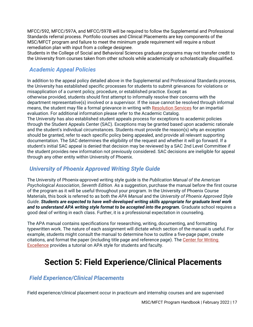MFCC/592, MFCC/597A, and MFCC/597B will be required to follow the Supplemental and Professional Standards referral process. Portfolio courses and Clinical Placements are key components of the MSC/MFCT program and failure to meet the minimum grade requirement will require a robust remediation plan with input from a college designee.

Students in the College of Social and Behavioral Sciences graduate programs may not transfer credit to the University from courses taken from other schools while academically or scholastically disqualified.

## <span id="page-19-0"></span>*Academic Appeal Policies*

In addition to the appeal policy detailed above in the Supplemental and Professional Standards process, the University has established specific processes for students to submit grievances for violations or misapplication of a current policy, procedure, or established practice. Except as otherwise provided, students should first attempt to informally resolve their concerns with the department representative(s) involved or a supervisor. If the issue cannot be resolved through informal means, the student may file a formal grievance in writing with [Resolution Services](https://www.phoenix.edu/about_us/contact_us/dispute-management.html) for an impartial evaluation. For additional information please refer to the Academic Catalog.

The University has also established student appeals process for exceptions to academic policies through the Student Appeals Center (SAC). Exceptions may be granted based upon academic rationale and the student's individual circumstances. Students must provide the reason(s) why an exception should be granted, refer to each specific policy being appealed, and provide all relevant supporting documentation. The SAC determines the eligibility of the request and whether it will go forward. If a student's initial SAC appeal is denied that decision may be reviewed by a SAC 2nd Level Committee if the student provides new information not previously considered. SAC decisions are ineligible for appeal through any other entity within University of Phoenix.

## <span id="page-19-1"></span>*University of Phoenix Approved Writing Style Guide*

The University of Phoenix-approved writing style guide is the *Publication Manual of the American Psychological Association*, *Seventh Edition*. As a suggestion, purchase the manual before the first course of the program as it will be useful throughout your program. In the University of Phoenix Course Materials, this book is referred to as both the *APA Manual* and the *University of Phoenix Approved Style Guide*. *Students are expected to have well-developed writing skills appropriate for graduate level work and to understand APA writing style format to be accepted into the program.* Graduate school requires a good deal of writing in each class. Further, it is a professional expectation in counseling.

The APA manual contains specifications for researching, writing, documenting, and formatting typewritten work. The nature of each assignment will dictate which section of the manual is useful. For example, students might consult the manual to determine how to outline a five-page paper, create citations, and format the paper (including title page and reference page). The [Center for Writing](https://multimedia.phoenix.edu/cms/cwe)  **[Excellence](https://multimedia.phoenix.edu/cms/cwe)** provides a tutorial on APA style for students and faculty.

## <span id="page-19-2"></span>**Section 5: Field Experience/Clinical Placements**

## <span id="page-19-3"></span>*Field Experience/Clinical Placements*

Field experience/clinical placement occur in practicum and internship courses and are supervised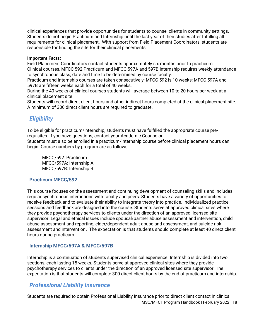clinical experiences that provide opportunities for students to counsel clients in community settings. Students do not begin Practicum and Internship until the last year of their studies after fulfilling all requirements for clinical placement. With support from Field Placement Coordinators, students are responsible for finding the site for their clinical placements.

#### **Important Facts:**

Field Placement Coordinators contact students approximately six months prior to practicum. Clinical courses, MFCC 592 Practicum and MFCC 597A and 597B Internship requires weekly attendance to synchronous class; date and time to be determined by course faculty.

Practicum and Internship courses are taken consecutively; MFCC 592 is 10 weeks; MFCC 597A and 597B are fifteen weeks each for a total of 40 weeks.

During the 40 weeks of clinical courses students will average between 10 to 20 hours per week at a clinical placement site.

Students will record direct client hours and other indirect hours completed at the clinical placement site. A minimum of 300 direct client hours are required to graduate.

## <span id="page-20-0"></span>*Eligibility*

To be eligible for practicum/internship, students must have fulfilled the appropriate course prerequisites. If you have questions, contact your Academic Counselor.

Students must also be enrolled in a practicum/internship course before clinical placement hours can begin. Course numbers by program are as follows:

MFCC/592: Practicum MFCC/597A: Internship A MFCC/597B: Internship B

#### <span id="page-20-1"></span>**Practicum MFCC/592**

This course focuses on the assessment and continuing development of counseling skills and includes regular synchronous interactions with faculty and peers. Students have a variety of opportunities to receive feedback and to evaluate their ability to integrate theory into practice. Individualized practice sessions and feedback are designed into the course. Students serve at approved clinical sites where they provide psychotherapy services to clients under the direction of an approved licensed site supervisor. Legal and ethical issues include spousal/partner abuse assessment and intervention, child abuse assessment and reporting, elder/dependent adult abuse and assessment, and suicide risk assessment and intervention**.** The expectation is that students should complete at least 40 direct client hours during practicum.

#### <span id="page-20-2"></span>**Internship MFCC/597A & MFCC/597B**

Internship is a continuation of students supervised clinical experience. Internship is divided into two sections, each lasting 15 weeks. Students serve at approved clinical sites where they provide psychotherapy services to clients under the direction of an approved licensed site supervisor. The expectation is that students will complete 300 direct client hours by the end of practicum and internship.

### <span id="page-20-3"></span>*Professional Liability Insurance*

MSC/MFCT Program Handbook | February 2022 | 18 Students are required to obtain Professional Liability Insurance prior to direct client contact in clinical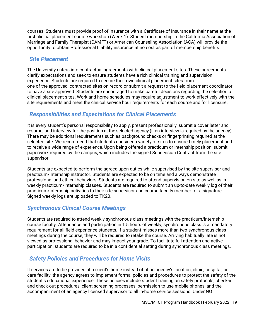courses. Students must provide proof of insurance with a Certificate of Insurance in their name at the first clinical placement course workshop (Week 1). Student membership in the California Association of Marriage and Family Therapist (CAMFT) or American Counseling Association (ACA) will provide the opportunity to obtain Professional Liability insurance at no cost as part of membership benefits.

## <span id="page-21-0"></span>*Site Placement*

The University enters into contractual agreements with clinical placement sites. These agreements clarify expectations and seek to ensure students have a rich clinical training and supervision experience. Students are required to secure their own clinical placement sites from one of the approved, contracted sites on record or submit a request to the field placement coordinator to have a site approved. Students are encouraged to make careful decisions regarding the selection of clinical placement sites. Work and home schedules may require adjustment to work effectively with the site requirements and meet the clinical service hour requirements for each course and for licensure.

## <span id="page-21-1"></span>*Responsibilities and Expectations for Clinical Placements*

It is every student's personal responsibility to apply, present professionally, submit a cover letter and resume, and interview for the position at the selected agency (if an interview is required by the agency). There may be additional requirements such as background checks or fingerprinting required at the selected site. We recommend that students consider a variety of sites to ensure timely placement and to receive a wide range of experience. Upon being offered a practicum or internship position, submit paperwork required by the campus, which includes the signed Supervision Contract from the site supervisor.

Students are expected to perform the agreed upon duties while supervised by the site supervisor and practicum/internship instructor. Students are expected to be on time and always demonstrate professional and ethical behaviors. Students are required to attend supervision on site as well as in weekly practicum/internship classes. Students are required to submit an up-to-date weekly log of their practicum/internship activities to their site supervisor and course faculty member for a signature. Signed weekly logs are uploaded to TK20.

## <span id="page-21-2"></span>*Synchronous Clinical Course Meetings*

Students are required to attend weekly synchronous class meetings with the practicum/internship course faculty. Attendance and participation in 1.5 hours of weekly, synchronous class is a mandatory requirement for all field experience students. If a student misses more than two synchronous class meetings during the course, they will be required to retake the course. Arriving habitually late is not viewed as professional behavior and may impact your grade. To facilitate full attention and active participation, students are required to be in a confidential setting during synchronous class meetings.

## <span id="page-21-3"></span>*Safety Policies and Procedures for Home Visits*

If services are to be provided at a client's home instead of at an agency's location, clinic, hospital, or care facility, the agency agrees to implement formal policies and procedures to protect the safety of the student's educational experience. These policies include student training on safety protocols, check-in and check-out procedures, client screening processes, permission to use mobile phones, and the accompaniment of an agency licensed supervisor to all in-home service sessions. Under NO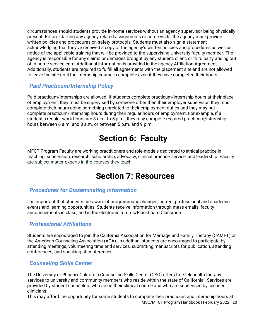circumstances should students provide in-home services without an agency supervisor being physically present. Before starting any agency-related assignments or home visits, the agency must provide written policies and procedures on safety protocols. Students must also sign a statement acknowledging that they've received a copy of the agency's written policies and procedures as well as notice of the applicable training that will be provided to the supervising University faculty member. The agency is responsible for any claims or damages brought by any student, client, or third party arising out of in-home service care. Additional information is provided in the agency Affiliation Agreement. Additionally, students are required to fulfill all agreements with the placement site and are not allowed to leave the site until the internship course is complete even if they have completed their hours.

## <span id="page-22-0"></span>*Paid Practicum/Internship Policy*

Paid practicum/internships are allowed. If students complete practicum/internship hours at their place of employment, they must be supervised by someone other than their employer supervisor; they must complete their hours doing something unrelated to their employment duties and they may not complete practicum/internship hours during their regular hours of employment. For example, if a student's regular work hours are 8 a.m. to 5 p.m., they may complete required practicum/internship hours between 6 a.m. and 8 a.m. or between 5 p.m. and 9 p.m.

## **Section 6: Faculty**

<span id="page-22-1"></span>MFCT Program Faculty are working practitioners and role-models dedicated to ethical practice in teaching, supervision, research, scholarship, advocacy, clinical practice, service, and leadership. Faculty are subject matter experts in the courses they teach.

## **. Section 7: Resources**

## <span id="page-22-3"></span><span id="page-22-2"></span>*Procedures for Disseminating Information*

It is important that students are aware of programmatic changes, current professional and academic events and learning opportunities. Students receive information through mass emails, faculty announcements in class, and in the electronic forums/Blackboard Classroom.

## <span id="page-22-4"></span>*Professional Affiliations*

Students are encouraged to join the California Association for Marriage and Family Therapy (CAMFT) or the American Counseling Association (ACA). In addition, students are encouraged to participate by attending meetings, volunteering time and services, submitting manuscripts for publication, attending conferences, and speaking at conferences.

## <span id="page-22-5"></span>*Counseling Skills Center*

The University of Phoenix California Counseling Skills Center (CSC) offers free telehealth therapy services to university and community members who reside within the state of California. Services are provided by student counselors who are in their clinical course and who are supervised by licensed clinicians.

MSC/MFCT Program Handbook | February 2022 | 20 This may afford the opportunity for some students to complete their practicum and internship hours at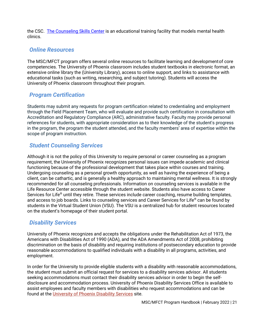the CSC. [The Counseling Skills Center](https://www.phoenix.edu/students/counseling-skills-centers.html) is an educational training facility that models mental health clinics.

### <span id="page-23-0"></span>*Online Resources*

The MSC/MFCT program offers several online resources to facilitate learning and developmentof core competencies. The University of Phoenix classroom includes student textbooks in electronic format, an extensive online library the (University Library), access to online support, and links to assistance with educational tasks (such as writing, researching, and subject tutoring). Students will access the University of Phoenix classroom throughout their program.

## <span id="page-23-1"></span>*Program Certification*

Students may submit any requests for program certification related to credentialing and employment through the Field Placement Team, who will evaluate and provide such certification in consultation with Accreditation and Regulatory Compliance (ARC), administrative faculty. Faculty may provide personal references for students, with appropriate consideration as to their knowledge of the student's progress in the program, the program the student attended, and the faculty members' area of expertise within the scope of program instruction.

### <span id="page-23-2"></span>*Student Counseling Services*

Although it is not the policy of this University to require personal or career counseling as a program requirement, the University of Phoenix recognizes personal issues can impede academic and clinical functioning because of the professional development that takes place within courses and training. Undergoing counseling as a personal growth opportunity, as well as having the experience of being a client, can be cathartic, and is generally a healthy approach to maintaining mental wellness. It is strongly recommended for all counseling professionals. Information on counseling services is available in the Life Resource Center accessible through the student website. Students also have access to Career Services for Life<sup>®</sup> until they retire. These services include career coaching, resume building templates, and access to job boards. Links to counseling services and Career Services for Life® can be found by students in the Virtual Student Union (VSU). The VSU is a centralized hub for student resources located on the student's homepage of their student portal.

## <span id="page-23-3"></span>*Disability Services*

University of Phoenix recognizes and accepts the obligations under the Rehabilitation Act of 1973, the Americans with Disabilities Act of 1990 (ADA), and the ADA Amendments Act of 2008, prohibiting discrimination on the basis of disability and requiring institutions of postsecondary education to provide reasonable accommodations to qualified individuals with a disability in all programs, activities, and employment.

In order for the University to provide eligible students with a disability with reasonable accommodations, the student must submit an official request for services to a disability services advisor. All students seeking accommodations must contact their disability services advisor in order to begin the selfdisclosure and accommodation process. University of Phoenix Disability Services Office is available to assist employees and faculty members with disabilities who request accommodations and can be found at the [University of Phoenix Disability Services](https://www.phoenix.edu/students/disability-services.html) site.